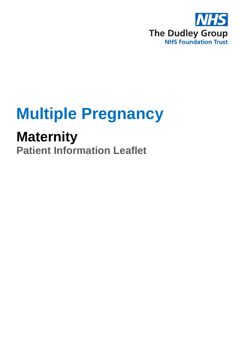

# **Multiple Pregnancy**

## **Maternity**

**Patient Information Leaflet**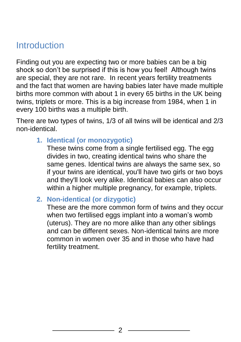#### **Introduction**

Finding out you are expecting two or more babies can be a big shock so don't be surprised if this is how you feel! Although twins are special, they are not rare. In recent years fertility treatments and the fact that women are having babies later have made multiple births more common with about 1 in every 65 births in the UK being twins, triplets or more. This is a big increase from 1984, when 1 in every 100 births was a multiple birth.

There are two types of twins, 1/3 of all twins will be identical and 2/3 non-identical.

**1. Identical (or monozygotic)**

These twins come from a single fertilised egg. The egg divides in two, creating identical twins who share the same genes. Identical twins are always the same sex, so if your twins are identical, you'll have two girls or two boys and they'll look very alike. Identical babies can also occur within a higher multiple pregnancy, for example, triplets.

**2. Non-identical (or dizygotic)**

These are the more common form of twins and they occur when two fertilised eggs implant into a woman's womb (uterus). They are no more alike than any other siblings and can be different sexes. Non-identical twins are more common in women over 35 and in those who have had fertility treatment.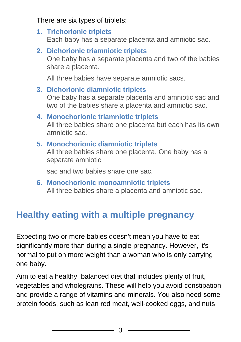There are six types of triplets:

- **1. Trichorionic triplets** Each baby has a separate placenta and amniotic sac.
- **2. Dichorionic triamniotic triplets** One baby has a separate placenta and two of the babies share a placenta.

All three babies have separate amniotic sacs.

- **3. Dichorionic diamniotic triplets** One baby has a separate placenta and amniotic sac and two of the babies share a placenta and amniotic sac.
- **4. Monochorionic triamniotic triplets** All three babies share one placenta but each has its own amniotic sac.
- **5. Monochorionic diamniotic triplets** All three babies share one placenta. One baby has a separate amniotic

sac and two babies share one sac.

**6. Monochorionic monoamniotic triplets** All three babies share a placenta and amniotic sac.

#### **Healthy eating with a multiple pregnancy**

Expecting two or more babies doesn't mean you have to eat significantly more than during a single pregnancy. However, it's normal to put on more weight than a woman who is only carrying one baby.

Aim to eat a healthy, balanced diet that includes plenty of fruit, vegetables and wholegrains. These will help you avoid constipation and provide a range of vitamins and minerals. You also need some protein foods, such as lean red meat, well-cooked eggs, and nuts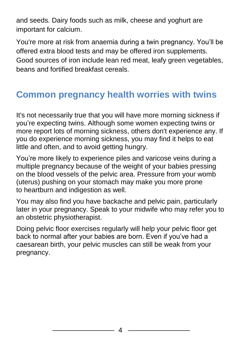and seeds. Dairy foods such as milk, cheese and yoghurt are important for calcium.

You're more at risk from [anaemia](https://www.nhs.uk/conditions/iron-deficiency-anaemia/) during a twin pregnancy. You'll be offered extra blood tests and may be offered iron supplements. Good sources of iron include lean red meat, leafy green vegetables, beans and fortified breakfast cereals.

### **Common pregnancy health worries with twins**

It's not necessarily true that you will have more [morning sickness](https://www.nhs.uk/conditions/pregnancy-and-baby/morning-sickness-nausea/) if you're expecting twins. Although some women expecting twins or more report lots of morning sickness, others don't experience any. If you do experience morning sickness, you may find it helps to eat little and often, and to avoid getting hungry.

You're more likely to experience [piles](https://www.nhs.uk/conditions/pregnancy-and-baby/piles-haemorrhoids-pregnant/) and [varicose veins](https://www.nhs.uk/conditions/varicose-veins/) during a multiple pregnancy because of the weight of your babies pressing on the blood vessels of the pelvic area. Pressure from your womb (uterus) pushing on your stomach may make you more prone to [heartburn and indigestion](https://www.nhs.uk/conditions/pregnancy-and-baby/indigestion-heartburn-pregnant/) as well.

You may also find you have [backache](https://www.nhs.uk/conditions/pregnancy-and-baby/backache-pregnant/) and [pelvic pain,](https://www.nhs.uk/conditions/pregnancy-and-baby/pelvic-pain-pregnant-spd/) particularly later in your pregnancy. Speak to your midwife who may refer you to an obstetric physiotherapist.

Doing [pelvic floor exercises](https://www.nhs.uk/chq/pages/1063.aspx?categoryid=52) regularly will help your pelvic floor get back to normal after your babies are born. Even if you've had a caesarean birth, your pelvic muscles can still be weak from your pregnancy.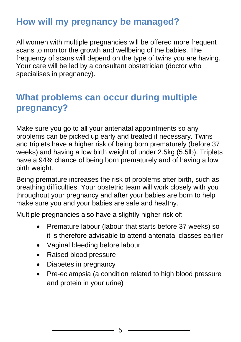#### **How will my pregnancy be managed?**

All women with multiple pregnancies will be offered more frequent scans to monitor the growth and wellbeing of the babies. The frequency of scans will depend on the type of twins you are having. Your care will be led by a consultant obstetrician (doctor who specialises in pregnancy).

#### **What problems can occur during multiple pregnancy?**

Make sure you go to all your antenatal appointments so any problems can be picked up early and treated if necessary. Twins and triplets have a higher risk of being born prematurely (before 37 weeks) and having a low birth weight of under 2.5kg (5.5lb). Triplets have a 94% chance of being born prematurely and of having a low birth weight.

Being premature increases the risk of problems after birth, such as breathing difficulties. Your obstetric team will work closely with you throughout your pregnancy and after your babies are born to help make sure you and your babies are safe and healthy.

Multiple pregnancies also have a slightly higher risk of:

- Premature labour (labour that starts before 37 weeks) so it is therefore advisable to attend antenatal classes earlier
- Vaginal bleeding before labour
- Raised blood pressure
- Diabetes in pregnancy
- Pre-eclampsia (a condition related to high blood pressure and protein in your urine)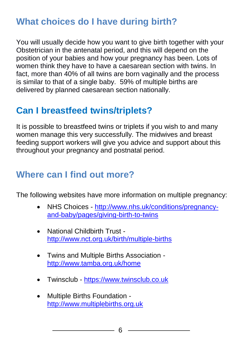#### **What choices do I have during birth?**

You will usually decide how you want to give birth together with your Obstetrician in the antenatal period, and this will depend on the position of your babies and how your pregnancy has been. Lots of women think they have to have a caesarean section with twins. In fact, more than 40% of all twins are born vaginally and the process is similar to that of a single baby. 59% of multiple births are delivered by planned caesarean section nationally.

#### **Can I breastfeed twins/triplets?**

It is possible to breastfeed twins or triplets if you wish to and many women manage this very successfully. The midwives and breast feeding support workers will give you advice and support about this throughout your pregnancy and postnatal period.

#### **Where can I find out more?**

The following websites have more information on multiple pregnancy:

- NHS Choices http://www.nhs.uk/conditions/pregnancyand-baby/pages/giving-birth-to-twins
- National Childbirth Trust http://www.nct.org.uk/birth/multiple-births
- Twins and Multiple Births Association <http://www.tamba.org.uk/home>
- Twinsclub [https://www.twinsclub.co.uk](https://www.twinsclub.co.uk/)
- Multiple Births Foundation http://www.multiplebirths.org.uk